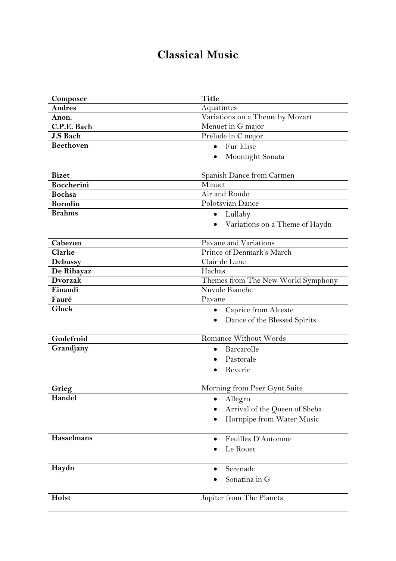## **Classical Music**

| Composer          | <b>Title</b>                       |
|-------------------|------------------------------------|
| <b>Andres</b>     | Aquatintes                         |
| Anon.             | Variations on a Theme by Mozart    |
| C.P.E. Bach       | Menuet in G major                  |
| J.S Bach          | Prelude in C major                 |
| <b>Beethoven</b>  | • Fur Elise                        |
|                   | Moonlight Sonata<br>$\bullet$      |
|                   |                                    |
| <b>Bizet</b>      | Spanish Dance from Carmen          |
| <b>Boccherini</b> | Minuet                             |
| <b>Bochsa</b>     | Air and Rondo                      |
| <b>Borodin</b>    | Polotsvian Dance                   |
| <b>Brahms</b>     | Lullaby<br>$\bullet$               |
|                   | • Variations on a Theme of Haydn   |
|                   |                                    |
| Cabezon           | Pavane and Variations              |
| Clarke            | Prince of Denmark's March          |
| <b>Debussy</b>    | Clair de Lune                      |
| De Ribayaz        | Hachas                             |
| <b>Dvorzak</b>    | Themes from The New World Symphony |
| Einaudi           | Nuvole Bianche                     |
| Fauré             | Pavane                             |
| Gluck             | Caprice from Alceste<br>$\bullet$  |
|                   | Dance of the Blessed Spirits       |
|                   |                                    |
| Godefroid         | <b>Romance Without Words</b>       |
| Grandjany         | Barcarolle<br>$\bullet$            |
|                   | Pastorale                          |
|                   | Reverie                            |
|                   |                                    |
| Grieg             | Morning from Peer Gynt Suite       |
| Handel            | Allegro                            |
|                   | Arrival of the Queen of Sheba      |
|                   | Hornpipe from Water Music          |
|                   |                                    |
| <b>Hasselmans</b> | Feuilles D'Automne                 |
|                   | Le Rouet                           |
|                   |                                    |
| Haydn             | Serenade                           |
|                   | Sonatina in G                      |
|                   |                                    |
| Holst             | Jupiter from The Planets           |
|                   |                                    |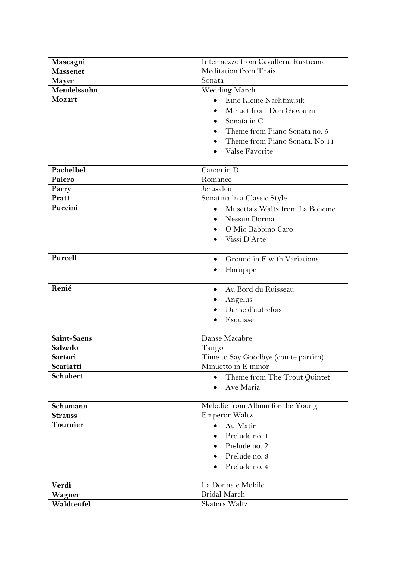| Mascagni           | Intermezzo from Cavalleria Rusticana                                                                                                                   |
|--------------------|--------------------------------------------------------------------------------------------------------------------------------------------------------|
| <b>Massenet</b>    | <b>Meditation from Thais</b>                                                                                                                           |
| <b>Mayer</b>       | Sonata                                                                                                                                                 |
| Mendelssohn        | Wedding March                                                                                                                                          |
| Mozart             | Eine Kleine Nachtmusik<br>Minuet from Don Giovanni<br>Sonata in C<br>Theme from Piano Sonata no. 5<br>Theme from Piano Sonata. No 11<br>Valse Favorite |
| Pachelbel          | Canon in $\overline{D}$                                                                                                                                |
| Palero             | Romance                                                                                                                                                |
| Parry              | Jerusalem                                                                                                                                              |
| Pratt              | Sonatina in a Classic Style                                                                                                                            |
| Puccini            | Musetta's Waltz from La Boheme<br>Nessun Dorma<br>O Mio Babbino Caro<br>Vissi D'Arte                                                                   |
| Purcell            | Ground in F with Variations<br>$\bullet$<br>Hornpipe                                                                                                   |
| Renié              | Au Bord du Ruisseau<br>Angelus<br>Danse d'autrefois<br>Esquisse                                                                                        |
| <b>Saint-Saens</b> | Danse Macabre                                                                                                                                          |
| Salzedo            | Tango                                                                                                                                                  |
| Sartori            | Time to Say Goodbye (con te partiro)                                                                                                                   |
| Scarlatti          | Minuetto in E minor                                                                                                                                    |
| <b>Schubert</b>    | Theme from The Trout Quintet<br>Ave Maria                                                                                                              |
| Schumann           | Melodie from Album for the Young                                                                                                                       |
| <b>Strauss</b>     | <b>Emperor Waltz</b>                                                                                                                                   |
| <b>Tournier</b>    | Au Matin<br>$\bullet$                                                                                                                                  |
|                    | Prelude no. 1<br>Prelude no. 2                                                                                                                         |
|                    | Prelude no. 3                                                                                                                                          |
|                    | Prelude no. 4                                                                                                                                          |
| Verdi              | La Donna e Mobile                                                                                                                                      |
| Wagner             | <b>Bridal March</b>                                                                                                                                    |
| Waldteufel         | Skaters Waltz                                                                                                                                          |